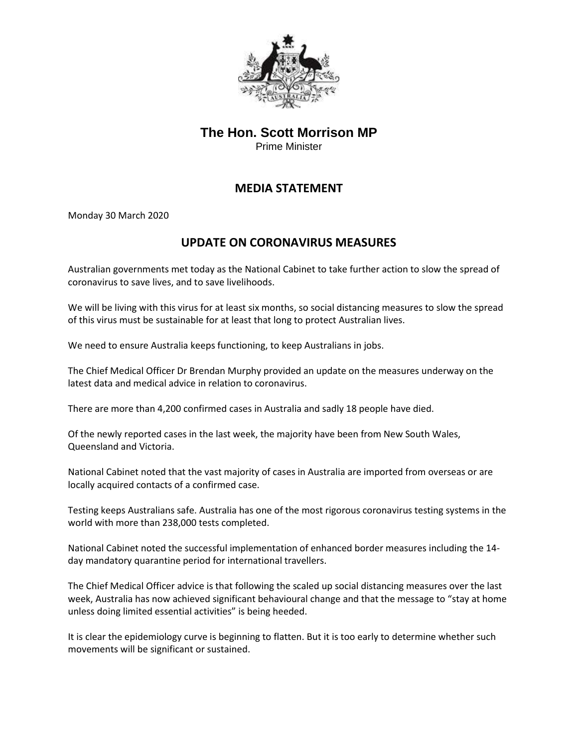

# **The Hon. Scott Morrison MP**

Prime Minister

## **MEDIA STATEMENT**

Monday 30 March 2020

# **UPDATE ON CORONAVIRUS MEASURES**

Australian governments met today as the National Cabinet to take further action to slow the spread of coronavirus to save lives, and to save livelihoods.

We will be living with this virus for at least six months, so social distancing measures to slow the spread of this virus must be sustainable for at least that long to protect Australian lives.

We need to ensure Australia keeps functioning, to keep Australians in jobs.

The Chief Medical Officer Dr Brendan Murphy provided an update on the measures underway on the latest data and medical advice in relation to coronavirus.

There are more than 4,200 confirmed cases in Australia and sadly 18 people have died.

Of the newly reported cases in the last week, the majority have been from New South Wales, Queensland and Victoria.

National Cabinet noted that the vast majority of cases in Australia are imported from overseas or are locally acquired contacts of a confirmed case.

Testing keeps Australians safe. Australia has one of the most rigorous coronavirus testing systems in the world with more than 238,000 tests completed.

National Cabinet noted the successful implementation of enhanced border measures including the 14 day mandatory quarantine period for international travellers.

The Chief Medical Officer advice is that following the scaled up social distancing measures over the last week, Australia has now achieved significant behavioural change and that the message to "stay at home unless doing limited essential activities" is being heeded.

It is clear the epidemiology curve is beginning to flatten. But it is too early to determine whether such movements will be significant or sustained.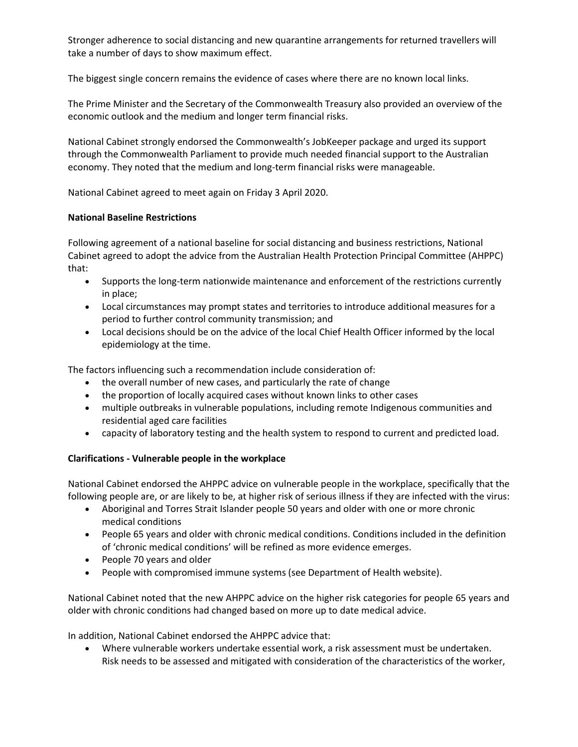Stronger adherence to social distancing and new quarantine arrangements for returned travellers will take a number of days to show maximum effect.

The biggest single concern remains the evidence of cases where there are no known local links.

The Prime Minister and the Secretary of the Commonwealth Treasury also provided an overview of the economic outlook and the medium and longer term financial risks.

National Cabinet strongly endorsed the Commonwealth's JobKeeper package and urged its support through the Commonwealth Parliament to provide much needed financial support to the Australian economy. They noted that the medium and long-term financial risks were manageable.

National Cabinet agreed to meet again on Friday 3 April 2020.

### **National Baseline Restrictions**

Following agreement of a national baseline for social distancing and business restrictions, National Cabinet agreed to adopt the advice from the Australian Health Protection Principal Committee (AHPPC) that:

- Supports the long-term nationwide maintenance and enforcement of the restrictions currently in place;
- Local circumstances may prompt states and territories to introduce additional measures for a period to further control community transmission; and
- Local decisions should be on the advice of the local Chief Health Officer informed by the local epidemiology at the time.

The factors influencing such a recommendation include consideration of:

- the overall number of new cases, and particularly the rate of change
- the proportion of locally acquired cases without known links to other cases
- multiple outbreaks in vulnerable populations, including remote Indigenous communities and residential aged care facilities
- capacity of laboratory testing and the health system to respond to current and predicted load.

## **Clarifications - Vulnerable people in the workplace**

National Cabinet endorsed the AHPPC advice on vulnerable people in the workplace, specifically that the following people are, or are likely to be, at higher risk of serious illness if they are infected with the virus:

- Aboriginal and Torres Strait Islander people 50 years and older with one or more chronic medical conditions
- People 65 years and older with chronic medical conditions. Conditions included in the definition of 'chronic medical conditions' will be refined as more evidence emerges.
- People 70 years and older
- People with compromised immune systems (see Department of Health website).

National Cabinet noted that the new AHPPC advice on the higher risk categories for people 65 years and older with chronic conditions had changed based on more up to date medical advice.

In addition, National Cabinet endorsed the AHPPC advice that:

• Where vulnerable workers undertake essential work, a risk assessment must be undertaken. Risk needs to be assessed and mitigated with consideration of the characteristics of the worker,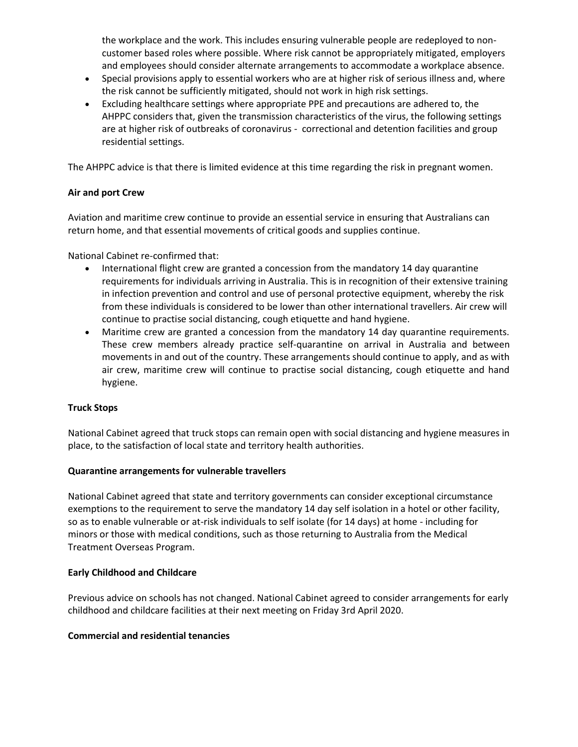the workplace and the work. This includes ensuring vulnerable people are redeployed to noncustomer based roles where possible. Where risk cannot be appropriately mitigated, employers and employees should consider alternate arrangements to accommodate a workplace absence.

- Special provisions apply to essential workers who are at higher risk of serious illness and, where the risk cannot be sufficiently mitigated, should not work in high risk settings.
- Excluding healthcare settings where appropriate PPE and precautions are adhered to, the AHPPC considers that, given the transmission characteristics of the virus, the following settings are at higher risk of outbreaks of coronavirus - correctional and detention facilities and group residential settings.

The AHPPC advice is that there is limited evidence at this time regarding the risk in pregnant women.

### **Air and port Crew**

Aviation and maritime crew continue to provide an essential service in ensuring that Australians can return home, and that essential movements of critical goods and supplies continue.

National Cabinet re-confirmed that:

- International flight crew are granted a concession from the mandatory 14 day quarantine requirements for individuals arriving in Australia. This is in recognition of their extensive training in infection prevention and control and use of personal protective equipment, whereby the risk from these individuals is considered to be lower than other international travellers. Air crew will continue to practise social distancing, cough etiquette and hand hygiene.
- Maritime crew are granted a concession from the mandatory 14 day quarantine requirements. These crew members already practice self-quarantine on arrival in Australia and between movements in and out of the country. These arrangements should continue to apply, and as with air crew, maritime crew will continue to practise social distancing, cough etiquette and hand hygiene.

## **Truck Stops**

National Cabinet agreed that truck stops can remain open with social distancing and hygiene measures in place, to the satisfaction of local state and territory health authorities.

### **Quarantine arrangements for vulnerable travellers**

National Cabinet agreed that state and territory governments can consider exceptional circumstance exemptions to the requirement to serve the mandatory 14 day self isolation in a hotel or other facility, so as to enable vulnerable or at-risk individuals to self isolate (for 14 days) at home - including for minors or those with medical conditions, such as those returning to Australia from the Medical Treatment Overseas Program.

### **Early Childhood and Childcare**

Previous advice on schools has not changed. National Cabinet agreed to consider arrangements for early childhood and childcare facilities at their next meeting on Friday 3rd April 2020.

### **Commercial and residential tenancies**